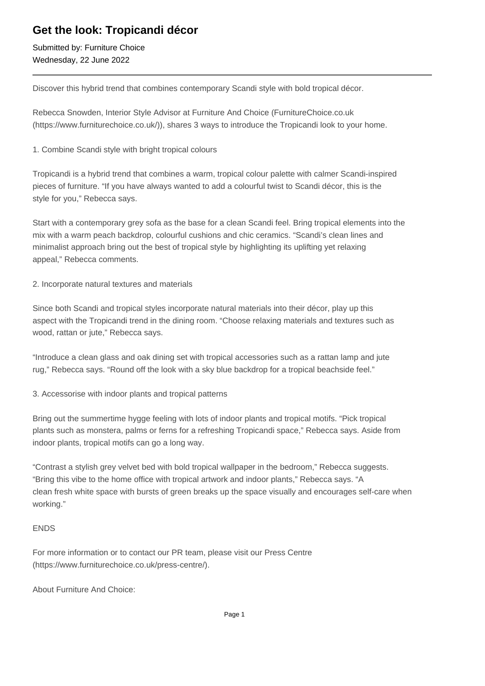## **Get the look: Tropicandi décor**

Submitted by: Furniture Choice Wednesday, 22 June 2022

Discover this hybrid trend that combines contemporary Scandi style with bold tropical décor.

Rebecca Snowden, Interior Style Advisor at Furniture And Choice (FurnitureChoice.co.uk (https://www.furniturechoice.co.uk/)), shares 3 ways to introduce the Tropicandi look to your home.

1. Combine Scandi style with bright tropical colours

Tropicandi is a hybrid trend that combines a warm, tropical colour palette with calmer Scandi-inspired pieces of furniture. "If you have always wanted to add a colourful twist to Scandi décor, this is the style for you," Rebecca says.

Start with a contemporary grey sofa as the base for a clean Scandi feel. Bring tropical elements into the mix with a warm peach backdrop, colourful cushions and chic ceramics. "Scandi's clean lines and minimalist approach bring out the best of tropical style by highlighting its uplifting yet relaxing appeal," Rebecca comments.

2. Incorporate natural textures and materials

Since both Scandi and tropical styles incorporate natural materials into their décor, play up this aspect with the Tropicandi trend in the dining room. "Choose relaxing materials and textures such as wood, rattan or jute," Rebecca says.

"Introduce a clean glass and oak dining set with tropical accessories such as a rattan lamp and jute rug," Rebecca says. "Round off the look with a sky blue backdrop for a tropical beachside feel."

3. Accessorise with indoor plants and tropical patterns

Bring out the summertime hygge feeling with lots of indoor plants and tropical motifs. "Pick tropical plants such as monstera, palms or ferns for a refreshing Tropicandi space," Rebecca says. Aside from indoor plants, tropical motifs can go a long way.

"Contrast a stylish grey velvet bed with bold tropical wallpaper in the bedroom," Rebecca suggests. "Bring this vibe to the home office with tropical artwork and indoor plants," Rebecca says. "A clean fresh white space with bursts of green breaks up the space visually and encourages self-care when working."

## ENDS

For more information or to contact our PR team, please visit our Press Centre (https://www.furniturechoice.co.uk/press-centre/).

About Furniture And Choice: